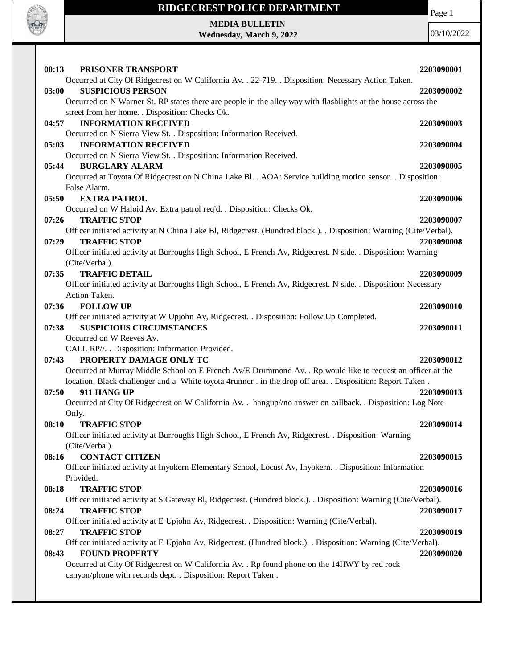

Page 1

## **MEDIA BULLETIN Wednesday, March 9, 2022**

| 00:13<br>PRISONER TRANSPORT                                                                                            | 2203090001 |
|------------------------------------------------------------------------------------------------------------------------|------------|
| Occurred at City Of Ridgecrest on W California Av. . 22-719. . Disposition: Necessary Action Taken.                    |            |
| <b>SUSPICIOUS PERSON</b><br>03:00                                                                                      | 2203090002 |
| Occurred on N Warner St. RP states there are people in the alley way with flashlights at the house across the          |            |
| street from her home. . Disposition: Checks Ok.                                                                        |            |
| 04:57<br><b>INFORMATION RECEIVED</b>                                                                                   | 2203090003 |
| Occurred on N Sierra View St. . Disposition: Information Received.                                                     |            |
| <b>INFORMATION RECEIVED</b><br>05:03                                                                                   | 2203090004 |
| Occurred on N Sierra View St. . Disposition: Information Received.                                                     |            |
| <b>BURGLARY ALARM</b><br>05:44                                                                                         | 2203090005 |
| Occurred at Toyota Of Ridgecrest on N China Lake Bl. . AOA: Service building motion sensor. . Disposition:             |            |
| False Alarm.                                                                                                           |            |
| 05:50<br><b>EXTRA PATROL</b>                                                                                           | 2203090006 |
| Occurred on W Haloid Av. Extra patrol req'd. . Disposition: Checks Ok.                                                 |            |
| 07:26<br><b>TRAFFIC STOP</b>                                                                                           | 2203090007 |
| Officer initiated activity at N China Lake Bl, Ridgecrest. (Hundred block.). . Disposition: Warning (Cite/Verbal).     |            |
| 07:29<br><b>TRAFFIC STOP</b>                                                                                           | 2203090008 |
| Officer initiated activity at Burroughs High School, E French Av, Ridgecrest. N side. . Disposition: Warning           |            |
| (Cite/Verbal).                                                                                                         |            |
| <b>TRAFFIC DETAIL</b><br>07:35                                                                                         | 2203090009 |
| Officer initiated activity at Burroughs High School, E French Av, Ridgecrest. N side. . Disposition: Necessary         |            |
| Action Taken.                                                                                                          |            |
| 07:36<br><b>FOLLOW UP</b>                                                                                              | 2203090010 |
| Officer initiated activity at W Upjohn Av, Ridgecrest. . Disposition: Follow Up Completed.                             |            |
| <b>SUSPICIOUS CIRCUMSTANCES</b><br>07:38                                                                               | 2203090011 |
| Occurred on W Reeves Av.                                                                                               |            |
| CALL RP//. . Disposition: Information Provided.                                                                        |            |
| PROPERTY DAMAGE ONLY TC<br>07:43                                                                                       | 2203090012 |
| Occurred at Murray Middle School on E French Av/E Drummond Av. . Rp would like to request an officer at the            |            |
| location. Black challenger and a White toyota 4runner . in the drop off area. . Disposition: Report Taken.             |            |
| 07:50<br>911 HANG UP                                                                                                   | 2203090013 |
| Occurred at City Of Ridgecrest on W California Av. . hangup//no answer on callback. . Disposition: Log Note            |            |
| Only.                                                                                                                  |            |
| 08:10<br><b>TRAFFIC STOP</b>                                                                                           | 2203090014 |
| Officer initiated activity at Burroughs High School, E French Av, Ridgecrest. . Disposition: Warning                   |            |
| (Cite/Verbal).<br><b>CONTACT CITIZEN</b><br>08:16                                                                      |            |
|                                                                                                                        | 2203090015 |
| Officer initiated activity at Inyokern Elementary School, Locust Av, Inyokern. . Disposition: Information<br>Provided. |            |
| 08:18<br><b>TRAFFIC STOP</b>                                                                                           | 2203090016 |
| Officer initiated activity at S Gateway Bl, Ridgecrest. (Hundred block.). Disposition: Warning (Cite/Verbal).          |            |
| 08:24<br><b>TRAFFIC STOP</b>                                                                                           | 2203090017 |
| Officer initiated activity at E Upjohn Av, Ridgecrest. . Disposition: Warning (Cite/Verbal).                           |            |
| <b>TRAFFIC STOP</b><br>08:27                                                                                           | 2203090019 |
| Officer initiated activity at E Upjohn Av, Ridgecrest. (Hundred block.). Disposition: Warning (Cite/Verbal).           |            |
| <b>FOUND PROPERTY</b><br>08:43                                                                                         | 2203090020 |
| Occurred at City Of Ridgecrest on W California Av. . Rp found phone on the 14HWY by red rock                           |            |
| canyon/phone with records dept. . Disposition: Report Taken.                                                           |            |
|                                                                                                                        |            |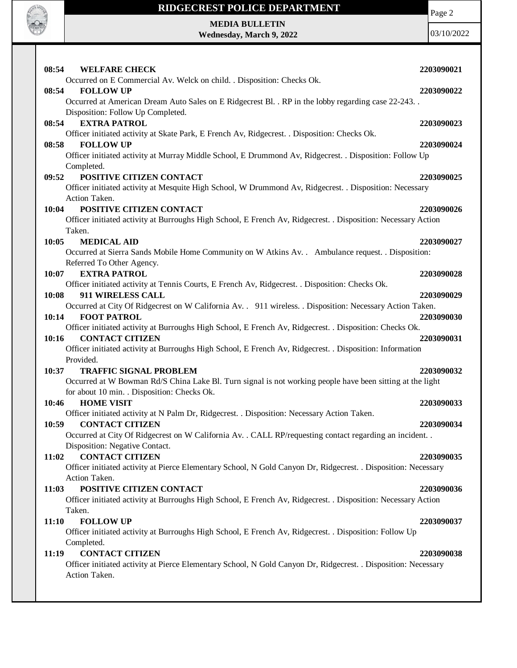

**MEDIA BULLETIN Wednesday, March 9, 2022** Page 2

| 08:54<br><b>WELFARE CHECK</b><br>Occurred on E Commercial Av. Welck on child. . Disposition: Checks Ok.                                     | 2203090021 |
|---------------------------------------------------------------------------------------------------------------------------------------------|------------|
| <b>FOLLOW UP</b><br>08:54                                                                                                                   | 2203090022 |
| Occurred at American Dream Auto Sales on E Ridgecrest Bl. . RP in the lobby regarding case 22-243. .                                        |            |
| Disposition: Follow Up Completed.                                                                                                           |            |
| <b>EXTRA PATROL</b><br>08:54                                                                                                                | 2203090023 |
| Officer initiated activity at Skate Park, E French Av, Ridgecrest. . Disposition: Checks Ok.                                                |            |
| 08:58<br><b>FOLLOW UP</b>                                                                                                                   | 2203090024 |
| Officer initiated activity at Murray Middle School, E Drummond Av, Ridgecrest. . Disposition: Follow Up                                     |            |
| Completed.                                                                                                                                  |            |
| POSITIVE CITIZEN CONTACT<br>09:52                                                                                                           | 2203090025 |
| Officer initiated activity at Mesquite High School, W Drummond Av, Ridgecrest. . Disposition: Necessary                                     |            |
| Action Taken.                                                                                                                               |            |
| POSITIVE CITIZEN CONTACT<br>10:04                                                                                                           | 2203090026 |
| Officer initiated activity at Burroughs High School, E French Av, Ridgecrest. . Disposition: Necessary Action                               |            |
| Taken.                                                                                                                                      |            |
| 10:05<br><b>MEDICAL AID</b>                                                                                                                 | 2203090027 |
| Occurred at Sierra Sands Mobile Home Community on W Atkins Av. . Ambulance request. . Disposition:                                          |            |
| Referred To Other Agency.                                                                                                                   |            |
| <b>EXTRA PATROL</b><br>10:07                                                                                                                | 2203090028 |
| Officer initiated activity at Tennis Courts, E French Av, Ridgecrest. . Disposition: Checks Ok.                                             |            |
| 911 WIRELESS CALL<br>10:08                                                                                                                  | 2203090029 |
| Occurred at City Of Ridgecrest on W California Av. . 911 wireless. . Disposition: Necessary Action Taken.                                   |            |
| 10:14<br><b>FOOT PATROL</b>                                                                                                                 | 2203090030 |
| Officer initiated activity at Burroughs High School, E French Av, Ridgecrest. . Disposition: Checks Ok.                                     |            |
| <b>CONTACT CITIZEN</b><br>10:16<br>Officer initiated activity at Burroughs High School, E French Av, Ridgecrest. . Disposition: Information | 2203090031 |
| Provided.                                                                                                                                   |            |
| <b>TRAFFIC SIGNAL PROBLEM</b><br>10:37                                                                                                      | 2203090032 |
| Occurred at W Bowman Rd/S China Lake Bl. Turn signal is not working people have been sitting at the light                                   |            |
| for about 10 min. . Disposition: Checks Ok.                                                                                                 |            |
| <b>HOME VISIT</b><br>10:46                                                                                                                  | 2203090033 |
| Officer initiated activity at N Palm Dr, Ridgecrest. . Disposition: Necessary Action Taken.                                                 |            |
| <b>CONTACT CITIZEN</b><br>10:59                                                                                                             | 2203090034 |
| Occurred at City Of Ridgecrest on W California Av. . CALL RP/requesting contact regarding an incident. .                                    |            |
| Disposition: Negative Contact.                                                                                                              |            |
| <b>CONTACT CITIZEN</b><br>11:02                                                                                                             | 2203090035 |
| Officer initiated activity at Pierce Elementary School, N Gold Canyon Dr, Ridgecrest. . Disposition: Necessary                              |            |
| Action Taken.                                                                                                                               |            |
| POSITIVE CITIZEN CONTACT<br>11:03                                                                                                           | 2203090036 |
| Officer initiated activity at Burroughs High School, E French Av, Ridgecrest. . Disposition: Necessary Action                               |            |
| Taken.                                                                                                                                      |            |
| <b>FOLLOW UP</b><br>11:10                                                                                                                   | 2203090037 |
| Officer initiated activity at Burroughs High School, E French Av, Ridgecrest. . Disposition: Follow Up                                      |            |
| Completed.                                                                                                                                  |            |
| <b>CONTACT CITIZEN</b><br>11:19                                                                                                             | 2203090038 |
| Officer initiated activity at Pierce Elementary School, N Gold Canyon Dr, Ridgecrest. . Disposition: Necessary                              |            |
| Action Taken.                                                                                                                               |            |
|                                                                                                                                             |            |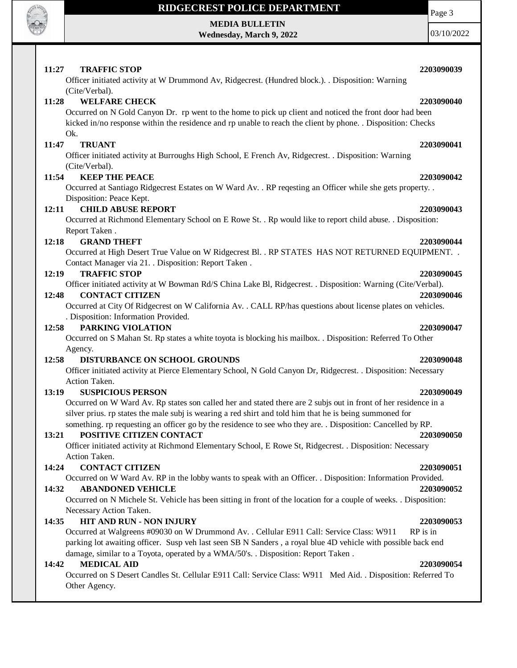

# **MEDIA BULLETIN**

**Wednesday, March 9, 2022**

03/10/2022

### **11:27 TRAFFIC STOP 2203090039**

# **11:28 WELFARE CHECK 2203090040**

Occurred on N Gold Canyon Dr. rp went to the home to pick up client and noticed the front door had been kicked in/no response within the residence and rp unable to reach the client by phone. . Disposition: Checks Ok.

## **11:47 TRUANT 2203090041**

(Cite/Verbal).

Officer initiated activity at Burroughs High School, E French Av, Ridgecrest. . Disposition: Warning (Cite/Verbal).

Officer initiated activity at W Drummond Av, Ridgecrest. (Hundred block.). . Disposition: Warning

### **11:54 KEEP THE PEACE 2203090042**

Occurred at Santiago Ridgecrest Estates on W Ward Av. . RP reqesting an Officer while she gets property. . Disposition: Peace Kept.

### **12:11 CHILD ABUSE REPORT 2203090043**

Occurred at Richmond Elementary School on E Rowe St. . Rp would like to report child abuse. . Disposition: Report Taken .

### **12:18 GRAND THEFT 2203090044**

Occurred at High Desert True Value on W Ridgecrest Bl. . RP STATES HAS NOT RETURNED EQUIPMENT. . Contact Manager via 21. . Disposition: Report Taken .

### **12:19 TRAFFIC STOP 2203090045**

Officer initiated activity at W Bowman Rd/S China Lake Bl, Ridgecrest. . Disposition: Warning (Cite/Verbal).

### **12:48 CONTACT CITIZEN 2203090046**

Occurred at City Of Ridgecrest on W California Av. . CALL RP/has questions about license plates on vehicles. . Disposition: Information Provided.

### **12:58 PARKING VIOLATION 2203090047**

Occurred on S Mahan St. Rp states a white toyota is blocking his mailbox. . Disposition: Referred To Other Agency.

## **12:58 DISTURBANCE ON SCHOOL GROUNDS 2203090048**

Officer initiated activity at Pierce Elementary School, N Gold Canyon Dr, Ridgecrest. . Disposition: Necessary Action Taken.

### **13:19 SUSPICIOUS PERSON 2203090049**

Occurred on W Ward Av. Rp states son called her and stated there are 2 subjs out in front of her residence in a silver prius. rp states the male subj is wearing a red shirt and told him that he is being summoned for something. rp requesting an officer go by the residence to see who they are. . Disposition: Cancelled by RP.

### **13:21 POSITIVE CITIZEN CONTACT 2203090050**

Officer initiated activity at Richmond Elementary School, E Rowe St, Ridgecrest. . Disposition: Necessary Action Taken.

### **14:24 CONTACT CITIZEN 2203090051**

Occurred on W Ward Av. RP in the lobby wants to speak with an Officer. . Disposition: Information Provided.

## **14:32 ABANDONED VEHICLE 2203090052**

Occurred on N Michele St. Vehicle has been sitting in front of the location for a couple of weeks. . Disposition: Necessary Action Taken.

## **14:35 HIT AND RUN - NON INJURY 2203090053**

Occurred at Walgreens #09030 on W Drummond Av. . Cellular E911 Call: Service Class: W911 RP is in parking lot awaiting officer. Susp veh last seen SB N Sanders , a royal blue 4D vehicle with possible back end damage, similar to a Toyota, operated by a WMA/50's. . Disposition: Report Taken .

## **14:42 MEDICAL AID 2203090054**

Occurred on S Desert Candles St. Cellular E911 Call: Service Class: W911 Med Aid. . Disposition: Referred To Other Agency.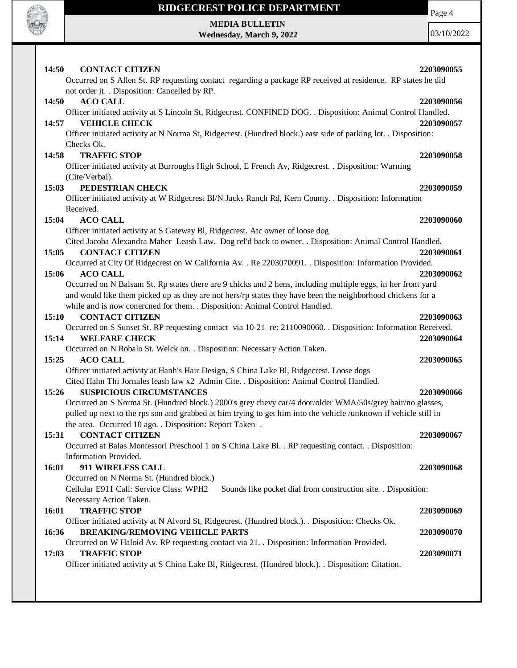

**MEDIA BULLETIN Wednesday, March 9, 2022** Page 4

| 14:50<br><b>CONTACT CITIZEN</b><br>Occurred on S Allen St. RP requesting contact regarding a package RP received at residence. RP states he did                                                                                                                                          | 2203090055               |
|------------------------------------------------------------------------------------------------------------------------------------------------------------------------------------------------------------------------------------------------------------------------------------------|--------------------------|
| not order it. . Disposition: Cancelled by RP.                                                                                                                                                                                                                                            |                          |
| 14:50<br><b>ACO CALL</b><br>Officer initiated activity at S Lincoln St, Ridgecrest. CONFINED DOG. . Disposition: Animal Control Handled.<br><b>VEHICLE CHECK</b><br>14:57                                                                                                                | 2203090056<br>2203090057 |
| Officer initiated activity at N Norma St, Ridgecrest. (Hundred block.) east side of parking lot. . Disposition:<br>Checks Ok.                                                                                                                                                            |                          |
| <b>TRAFFIC STOP</b><br>14:58                                                                                                                                                                                                                                                             | 2203090058               |
| Officer initiated activity at Burroughs High School, E French Av, Ridgecrest. . Disposition: Warning                                                                                                                                                                                     |                          |
| (Cite/Verbal).                                                                                                                                                                                                                                                                           |                          |
| PEDESTRIAN CHECK<br>15:03                                                                                                                                                                                                                                                                | 2203090059               |
| Officer initiated activity at W Ridgecrest Bl/N Jacks Ranch Rd, Kern County. . Disposition: Information                                                                                                                                                                                  |                          |
| Received.<br>15:04<br><b>ACO CALL</b>                                                                                                                                                                                                                                                    | 2203090060               |
| Officer initiated activity at S Gateway Bl, Ridgecrest. Atc owner of loose dog                                                                                                                                                                                                           |                          |
| Cited Jacoba Alexandra Maher Leash Law. Dog rel'd back to owner. . Disposition: Animal Control Handled.                                                                                                                                                                                  |                          |
| 15:05<br><b>CONTACT CITIZEN</b>                                                                                                                                                                                                                                                          | 2203090061               |
| Occurred at City Of Ridgecrest on W California Av. . Re 2203070091. . Disposition: Information Provided.                                                                                                                                                                                 |                          |
| 15:06<br><b>ACO CALL</b>                                                                                                                                                                                                                                                                 | 2203090062               |
| Occurred on N Balsam St. Rp states there are 9 chicks and 2 hens, including multiple eggs, in her front yard                                                                                                                                                                             |                          |
| and would like them picked up as they are not hers/rp states they have been the neighborhood chickens for a<br>while and is now conercned for them. . Disposition: Animal Control Handled.                                                                                               |                          |
| <b>CONTACT CITIZEN</b><br>15:10                                                                                                                                                                                                                                                          | 2203090063               |
| Occurred on S Sunset St. RP requesting contact via 10-21 re: 2110090060. Disposition: Information Received.<br>15:14<br><b>WELFARE CHECK</b>                                                                                                                                             | 2203090064               |
| Occurred on N Robalo St. Welck on. . Disposition: Necessary Action Taken.                                                                                                                                                                                                                |                          |
| 15:25<br><b>ACO CALL</b>                                                                                                                                                                                                                                                                 | 2203090065               |
| Officer initiated activity at Hanh's Hair Design, S China Lake Bl, Ridgecrest. Loose dogs                                                                                                                                                                                                |                          |
| Cited Hahn Thi Jornales leash law x2 Admin Cite. . Disposition: Animal Control Handled.                                                                                                                                                                                                  |                          |
| 15:26<br><b>SUSPICIOUS CIRCUMSTANCES</b>                                                                                                                                                                                                                                                 | 2203090066               |
| Occurred on S Norma St. (Hundred block.) 2000's grey chevy car/4 door/older WMA/50s/grey hair/no glasses,<br>pulled up next to the rps son and grabbed at him trying to get him into the vehicle /unknown if vehicle still in<br>the area. Occurred 10 ago. . Disposition: Report Taken. |                          |
| <b>CONTACT CITIZEN</b><br>15:31                                                                                                                                                                                                                                                          | 2203090067               |
| Occurred at Balas Montessori Preschool 1 on S China Lake Bl. . RP requesting contact. . Disposition:                                                                                                                                                                                     |                          |
| Information Provided.                                                                                                                                                                                                                                                                    |                          |
| 911 WIRELESS CALL<br>16:01                                                                                                                                                                                                                                                               | 2203090068               |
| Occurred on N Norma St. (Hundred block.)                                                                                                                                                                                                                                                 |                          |
| Cellular E911 Call: Service Class: WPH2<br>Sounds like pocket dial from construction site. . Disposition:                                                                                                                                                                                |                          |
| Necessary Action Taken.                                                                                                                                                                                                                                                                  |                          |
| <b>TRAFFIC STOP</b><br>16:01                                                                                                                                                                                                                                                             | 2203090069               |
| Officer initiated activity at N Alvord St, Ridgecrest. (Hundred block.). . Disposition: Checks Ok.<br><b>BREAKING/REMOVING VEHICLE PARTS</b><br>16:36                                                                                                                                    | 2203090070               |
| Occurred on W Haloid Av. RP requesting contact via 21. . Disposition: Information Provided.<br>17:03<br><b>TRAFFIC STOP</b>                                                                                                                                                              | 2203090071               |
| Officer initiated activity at S China Lake Bl, Ridgecrest. (Hundred block.). Disposition: Citation.                                                                                                                                                                                      |                          |
|                                                                                                                                                                                                                                                                                          |                          |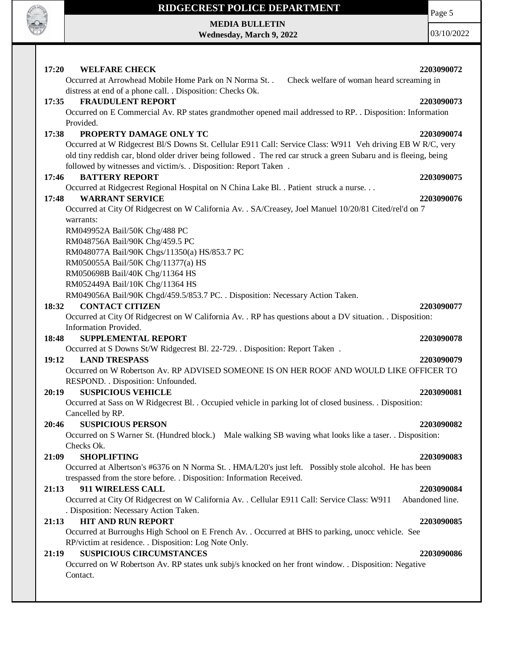

**MEDIA BULLETIN Wednesday, March 9, 2022** Page 5

| 17:20<br><b>WELFARE CHECK</b>                                                                                     | 2203090072      |
|-------------------------------------------------------------------------------------------------------------------|-----------------|
| Occurred at Arrowhead Mobile Home Park on N Norma St. .<br>Check welfare of woman heard screaming in              |                 |
| distress at end of a phone call. . Disposition: Checks Ok.                                                        |                 |
| <b>FRAUDULENT REPORT</b><br>17:35                                                                                 | 2203090073      |
| Occurred on E Commercial Av. RP states grandmother opened mail addressed to RP. . Disposition: Information        |                 |
| Provided.                                                                                                         |                 |
| 17:38<br>PROPERTY DAMAGE ONLY TC                                                                                  | 2203090074      |
| Occurred at W Ridgecrest Bl/S Downs St. Cellular E911 Call: Service Class: W911 Veh driving EB W R/C, very        |                 |
| old tiny reddish car, blond older driver being followed. The red car struck a green Subaru and is fleeing, being  |                 |
| followed by witnesses and victim/s. . Disposition: Report Taken .                                                 |                 |
| <b>BATTERY REPORT</b><br>17:46                                                                                    | 2203090075      |
| Occurred at Ridgecrest Regional Hospital on N China Lake Bl. . Patient struck a nurse.                            |                 |
| <b>WARRANT SERVICE</b><br>17:48                                                                                   | 2203090076      |
| Occurred at City Of Ridgecrest on W California Av. . SA/Creasey, Joel Manuel 10/20/81 Cited/rel'd on 7            |                 |
| warrants:                                                                                                         |                 |
| RM049952A Bail/50K Chg/488 PC                                                                                     |                 |
| RM048756A Bail/90K Chg/459.5 PC                                                                                   |                 |
| RM048077A Bail/90K Chgs/11350(a) HS/853.7 PC                                                                      |                 |
| RM050055A Bail/50K Chg/11377(a) HS                                                                                |                 |
| RM050698B Bail/40K Chg/11364 HS                                                                                   |                 |
| RM052449A Bail/10K Chg/11364 HS                                                                                   |                 |
| RM049056A Bail/90K Chgd/459.5/853.7 PC. . Disposition: Necessary Action Taken.                                    |                 |
| <b>CONTACT CITIZEN</b><br>18:32                                                                                   | 2203090077      |
| Occurred at City Of Ridgecrest on W California Av. . RP has questions about a DV situation. . Disposition:        |                 |
| Information Provided.                                                                                             |                 |
| 18:48<br><b>SUPPLEMENTAL REPORT</b>                                                                               | 2203090078      |
| Occurred at S Downs St/W Ridgecrest Bl. 22-729. . Disposition: Report Taken.                                      |                 |
| 19:12<br><b>LAND TRESPASS</b>                                                                                     | 2203090079      |
| Occurred on W Robertson Av. RP ADVISED SOMEONE IS ON HER ROOF AND WOULD LIKE OFFICER TO                           |                 |
| RESPOND. . Disposition: Unfounded.                                                                                |                 |
| <b>SUSPICIOUS VEHICLE</b><br>20:19                                                                                | 2203090081      |
| Occurred at Sass on W Ridgecrest Bl. . Occupied vehicle in parking lot of closed business. . Disposition:         |                 |
| Cancelled by RP.                                                                                                  |                 |
| <b>SUSPICIOUS PERSON</b><br>20:46                                                                                 | 2203090082      |
| Occurred on S Warner St. (Hundred block.) Male walking SB waving what looks like a taser. . Disposition:          |                 |
| Checks Ok.                                                                                                        |                 |
| <b>SHOPLIFTING</b><br>21:09                                                                                       | 2203090083      |
| Occurred at Albertson's #6376 on N Norma St. . HMA/L20's just left. Possibly stole alcohol. He has been           |                 |
| trespassed from the store before. . Disposition: Information Received.                                            |                 |
| 21:13<br>911 WIRELESS CALL                                                                                        | 2203090084      |
| Occurred at City Of Ridgecrest on W California Av. . Cellular E911 Call: Service Class: W911                      | Abandoned line. |
| . Disposition: Necessary Action Taken.                                                                            |                 |
| <b>HIT AND RUN REPORT</b><br>21:13                                                                                | 2203090085      |
| Occurred at Burroughs High School on E French Av. . Occurred at BHS to parking, unocc vehicle. See                |                 |
| RP/victim at residence. . Disposition: Log Note Only.                                                             |                 |
|                                                                                                                   |                 |
| <b>SUSPICIOUS CIRCUMSTANCES</b><br>21:19                                                                          | 2203090086      |
| Occurred on W Robertson Av. RP states unk subj/s knocked on her front window. . Disposition: Negative<br>Contact. |                 |